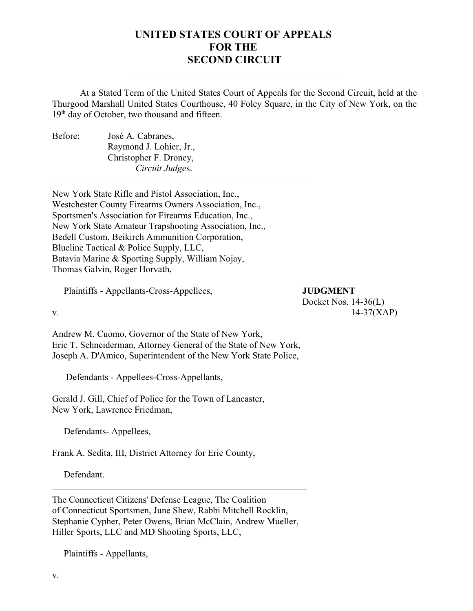## **UNITED STATES COURT OF APPEALS FOR THE SECOND CIRCUIT**

 $\mathcal{L}=\mathcal{L}=\mathcal{L}=\mathcal{L}=\mathcal{L}=\mathcal{L}=\mathcal{L}=\mathcal{L}=\mathcal{L}=\mathcal{L}=\mathcal{L}=\mathcal{L}=\mathcal{L}=\mathcal{L}=\mathcal{L}=\mathcal{L}=\mathcal{L}=\mathcal{L}=\mathcal{L}=\mathcal{L}=\mathcal{L}=\mathcal{L}=\mathcal{L}=\mathcal{L}=\mathcal{L}=\mathcal{L}=\mathcal{L}=\mathcal{L}=\mathcal{L}=\mathcal{L}=\mathcal{L}=\mathcal{L}=\mathcal{L}=\mathcal{L}=\mathcal{L}=\mathcal{L}=\mathcal{$ 

At a Stated Term of the United States Court of Appeals for the Second Circuit, held at the Thurgood Marshall United States Courthouse, 40 Foley Square, in the City of New York, on the  $19<sup>th</sup>$  day of October, two thousand and fifteen.

Before: José A. Cabranes, Raymond J. Lohier, Jr., Christopher F. Droney, *Circuit Judge*s.

New York State Rifle and Pistol Association, Inc., Westchester County Firearms Owners Association, Inc., Sportsmen's Association for Firearms Education, Inc., New York State Amateur Trapshooting Association, Inc., Bedell Custom, Beikirch Ammunition Corporation, Blueline Tactical & Police Supply, LLC, Batavia Marine & Sporting Supply, William Nojay, Thomas Galvin, Roger Horvath,

\_\_\_\_\_\_\_\_\_\_\_\_\_\_\_\_\_\_\_\_\_\_\_\_\_\_\_\_\_\_\_\_\_\_\_\_\_\_\_\_\_\_\_\_\_\_\_\_\_\_\_\_\_\_\_

Plaintiffs - Appellants-Cross-Appellees, **JUDGMENT**

## Docket Nos. 14-36(L)

v.  $14-37(XAP)$ Andrew M. Cuomo, Governor of the State of New York, Eric T. Schneiderman, Attorney General of the State of New York,

Joseph A. D'Amico, Superintendent of the New York State Police,

Defendants - Appellees-Cross-Appellants,

Gerald J. Gill, Chief of Police for the Town of Lancaster, New York, Lawrence Friedman,

Defendants- Appellees,

Frank A. Sedita, III, District Attorney for Erie County,

Defendant.

The Connecticut Citizens' Defense League, The Coalition of Connecticut Sportsmen, June Shew, Rabbi Mitchell Rocklin, Stephanie Cypher, Peter Owens, Brian McClain, Andrew Mueller, Hiller Sports, LLC and MD Shooting Sports, LLC,

\_\_\_\_\_\_\_\_\_\_\_\_\_\_\_\_\_\_\_\_\_\_\_\_\_\_\_\_\_\_\_\_\_\_\_\_\_\_\_\_\_\_\_\_\_\_\_\_\_\_\_\_\_\_\_

Plaintiffs - Appellants,